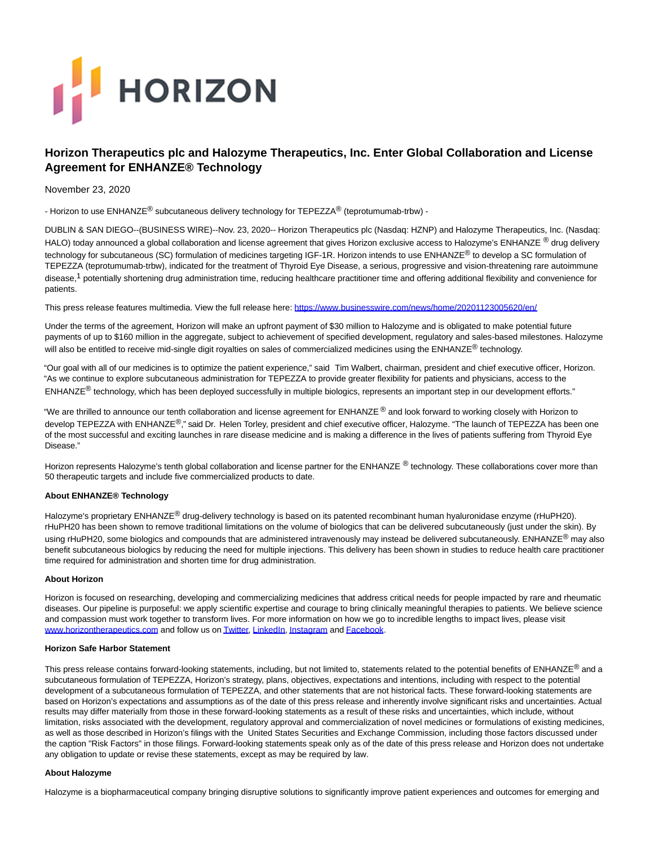# **HORIZON**

# **Horizon Therapeutics plc and Halozyme Therapeutics, Inc. Enter Global Collaboration and License Agreement for ENHANZE® Technology**

# November 23, 2020

- Horizon to use ENHANZE<sup>®</sup> subcutaneous delivery technology for TEPEZZA<sup>®</sup> (teprotumumab-trbw) -

DUBLIN & SAN DIEGO--(BUSINESS WIRE)--Nov. 23, 2020-- Horizon Therapeutics plc (Nasdaq: HZNP) and Halozyme Therapeutics, Inc. (Nasdaq: HALO) today announced a global collaboration and license agreement that gives Horizon exclusive access to Halozyme's ENHANZE  $^{\circledR}$  drug delivery technology for subcutaneous (SC) formulation of medicines targeting IGF-1R. Horizon intends to use ENHANZE® to develop a SC formulation of TEPEZZA (teprotumumab-trbw), indicated for the treatment of Thyroid Eye Disease, a serious, progressive and vision-threatening rare autoimmune disease,<sup>1</sup> potentially shortening drug administration time, reducing healthcare practitioner time and offering additional flexibility and convenience for patients.

This press release features multimedia. View the full release here:<https://www.businesswire.com/news/home/20201123005620/en/>

Under the terms of the agreement, Horizon will make an upfront payment of \$30 million to Halozyme and is obligated to make potential future payments of up to \$160 million in the aggregate, subject to achievement of specified development, regulatory and sales-based milestones. Halozyme will also be entitled to receive mid-single digit royalties on sales of commercialized medicines using the ENHANZE® technology.

"Our goal with all of our medicines is to optimize the patient experience," said Tim Walbert, chairman, president and chief executive officer, Horizon. "As we continue to explore subcutaneous administration for TEPEZZA to provide greater flexibility for patients and physicians, access to the ENHANZE® technology, which has been deployed successfully in multiple biologics, represents an important step in our development efforts."

"We are thrilled to announce our tenth collaboration and license agreement for ENHANZE ® and look forward to working closely with Horizon to develop TEPEZZA with ENHANZE®," said Dr. Helen Torley, president and chief executive officer, Halozyme. "The launch of TEPEZZA has been one of the most successful and exciting launches in rare disease medicine and is making a difference in the lives of patients suffering from Thyroid Eye Disease."

Horizon represents Halozyme's tenth global collaboration and license partner for the ENHANZE ® technology. These collaborations cover more than 50 therapeutic targets and include five commercialized products to date.

# **About ENHANZE® Technology**

Halozyme's proprietary ENHANZE<sup>®</sup> drug-delivery technology is based on its patented recombinant human hyaluronidase enzyme (rHuPH20). rHuPH20 has been shown to remove traditional limitations on the volume of biologics that can be delivered subcutaneously (just under the skin). By using rHuPH20, some biologics and compounds that are administered intravenously may instead be delivered subcutaneously. ENHANZE<sup>®</sup> may also benefit subcutaneous biologics by reducing the need for multiple injections. This delivery has been shown in studies to reduce health care practitioner time required for administration and shorten time for drug administration.

# **About Horizon**

Horizon is focused on researching, developing and commercializing medicines that address critical needs for people impacted by rare and rheumatic diseases. Our pipeline is purposeful: we apply scientific expertise and courage to bring clinically meaningful therapies to patients. We believe science and compassion must work together to transform lives. For more information on how we go to incredible lengths to impact lives, please visit [www.horizontherapeutics.com a](https://cts.businesswire.com/ct/CT?id=smartlink&url=http%3A%2F%2Fwww.horizontherapeutics.com&esheet=52334387&newsitemid=20201123005620&lan=en-US&anchor=www.horizontherapeutics.com&index=1&md5=1240f0fd402a04bb29d5d0db4c1c4b2a)nd follow us o[n Twitter,](https://cts.businesswire.com/ct/CT?id=smartlink&url=https%3A%2F%2Ftwitter.com%2FHorizonNews&esheet=52334387&newsitemid=20201123005620&lan=en-US&anchor=Twitter&index=2&md5=ea1eaf41bd96777fa19508f5f9622fed) [LinkedIn,](https://cts.businesswire.com/ct/CT?id=smartlink&url=https%3A%2F%2Fwww.linkedin.com%2Fcompany%2Fhorizontherapeutics&esheet=52334387&newsitemid=20201123005620&lan=en-US&anchor=LinkedIn&index=3&md5=171b46dae1e82cb1f3867489aaa4d44f) [Instagram a](https://cts.businesswire.com/ct/CT?id=smartlink&url=https%3A%2F%2Fwww.instagram.com%2Fhorizontherapeutics%2F&esheet=52334387&newsitemid=20201123005620&lan=en-US&anchor=Instagram&index=4&md5=3c82aeb49a86abb9fdd86b745d3d5f22)n[d Facebook.](https://cts.businesswire.com/ct/CT?id=smartlink&url=https%3A%2F%2Fwww.facebook.com%2FHorizonTherapeutics%2F&esheet=52334387&newsitemid=20201123005620&lan=en-US&anchor=Facebook&index=5&md5=07332e8a6dc0945429c2b3f109b6373a)

# **Horizon Safe Harbor Statement**

This press release contains forward-looking statements, including, but not limited to, statements related to the potential benefits of ENHANZE<sup>®</sup> and a subcutaneous formulation of TEPEZZA, Horizon's strategy, plans, objectives, expectations and intentions, including with respect to the potential development of a subcutaneous formulation of TEPEZZA, and other statements that are not historical facts. These forward-looking statements are based on Horizon's expectations and assumptions as of the date of this press release and inherently involve significant risks and uncertainties. Actual results may differ materially from those in these forward-looking statements as a result of these risks and uncertainties, which include, without limitation, risks associated with the development, regulatory approval and commercialization of novel medicines or formulations of existing medicines, as well as those described in Horizon's filings with the United States Securities and Exchange Commission, including those factors discussed under the caption "Risk Factors" in those filings. Forward-looking statements speak only as of the date of this press release and Horizon does not undertake any obligation to update or revise these statements, except as may be required by law.

# **About Halozyme**

Halozyme is a biopharmaceutical company bringing disruptive solutions to significantly improve patient experiences and outcomes for emerging and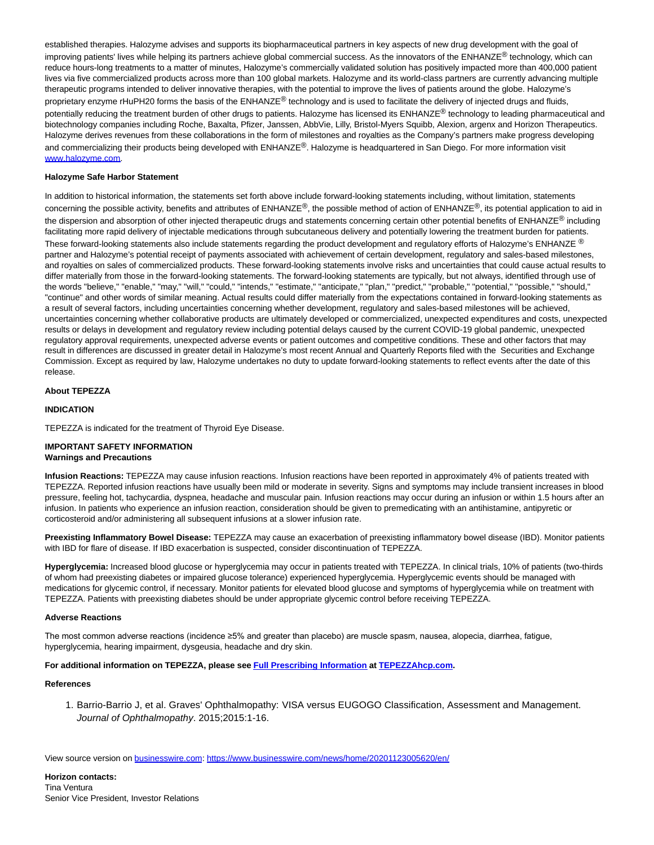established therapies. Halozyme advises and supports its biopharmaceutical partners in key aspects of new drug development with the goal of improving patients' lives while helping its partners achieve global commercial success. As the innovators of the ENHANZE® technology, which can reduce hours-long treatments to a matter of minutes, Halozyme's commercially validated solution has positively impacted more than 400,000 patient lives via five commercialized products across more than 100 global markets. Halozyme and its world-class partners are currently advancing multiple therapeutic programs intended to deliver innovative therapies, with the potential to improve the lives of patients around the globe. Halozyme's proprietary enzyme rHuPH20 forms the basis of the ENHANZE® technology and is used to facilitate the delivery of injected drugs and fluids, potentially reducing the treatment burden of other drugs to patients. Halozyme has licensed its ENHANZE® technology to leading pharmaceutical and biotechnology companies including Roche, Baxalta, Pfizer, Janssen, AbbVie, Lilly, Bristol-Myers Squibb, Alexion, argenx and Horizon Therapeutics. Halozyme derives revenues from these collaborations in the form of milestones and royalties as the Company's partners make progress developing and commercializing their products being developed with ENHANZE®. Halozyme is headquartered in San Diego. For more information visit [www.halozyme.com.](https://cts.businesswire.com/ct/CT?id=smartlink&url=http%3A%2F%2Fwww.halozyme.com&esheet=52334387&newsitemid=20201123005620&lan=en-US&anchor=www.halozyme.com&index=6&md5=e4f281a19227506e7002ceb700ac5524)

#### **Halozyme Safe Harbor Statement**

In addition to historical information, the statements set forth above include forward-looking statements including, without limitation, statements concerning the possible activity, benefits and attributes of ENHANZE®, the possible method of action of ENHANZE®, its potential application to aid in the dispersion and absorption of other injected therapeutic drugs and statements concerning certain other potential benefits of ENHANZE<sup>®</sup> including facilitating more rapid delivery of injectable medications through subcutaneous delivery and potentially lowering the treatment burden for patients. These forward-looking statements also include statements regarding the product development and regulatory efforts of Halozyme's ENHANZE  $^{\circledR}$ partner and Halozyme's potential receipt of payments associated with achievement of certain development, regulatory and sales-based milestones, and royalties on sales of commercialized products. These forward-looking statements involve risks and uncertainties that could cause actual results to differ materially from those in the forward-looking statements. The forward-looking statements are typically, but not always, identified through use of the words "believe," "enable," "may," "will," "could," "intends," "estimate," "anticipate," "plan," "predict," "probable," "potential," "possible," "should," "continue" and other words of similar meaning. Actual results could differ materially from the expectations contained in forward-looking statements as a result of several factors, including uncertainties concerning whether development, regulatory and sales-based milestones will be achieved, uncertainties concerning whether collaborative products are ultimately developed or commercialized, unexpected expenditures and costs, unexpected results or delays in development and regulatory review including potential delays caused by the current COVID-19 global pandemic, unexpected regulatory approval requirements, unexpected adverse events or patient outcomes and competitive conditions. These and other factors that may result in differences are discussed in greater detail in Halozyme's most recent Annual and Quarterly Reports filed with the Securities and Exchange Commission. Except as required by law, Halozyme undertakes no duty to update forward-looking statements to reflect events after the date of this release.

#### **About TEPEZZA**

#### **INDICATION**

TEPEZZA is indicated for the treatment of Thyroid Eye Disease.

#### **IMPORTANT SAFETY INFORMATION Warnings and Precautions**

**Infusion Reactions:** TEPEZZA may cause infusion reactions. Infusion reactions have been reported in approximately 4% of patients treated with TEPEZZA. Reported infusion reactions have usually been mild or moderate in severity. Signs and symptoms may include transient increases in blood pressure, feeling hot, tachycardia, dyspnea, headache and muscular pain. Infusion reactions may occur during an infusion or within 1.5 hours after an infusion. In patients who experience an infusion reaction, consideration should be given to premedicating with an antihistamine, antipyretic or corticosteroid and/or administering all subsequent infusions at a slower infusion rate.

**Preexisting Inflammatory Bowel Disease:** TEPEZZA may cause an exacerbation of preexisting inflammatory bowel disease (IBD). Monitor patients with IBD for flare of disease. If IBD exacerbation is suspected, consider discontinuation of TEPEZZA.

**Hyperglycemia:** Increased blood glucose or hyperglycemia may occur in patients treated with TEPEZZA. In clinical trials, 10% of patients (two-thirds of whom had preexisting diabetes or impaired glucose tolerance) experienced hyperglycemia. Hyperglycemic events should be managed with medications for glycemic control, if necessary. Monitor patients for elevated blood glucose and symptoms of hyperglycemia while on treatment with TEPEZZA. Patients with preexisting diabetes should be under appropriate glycemic control before receiving TEPEZZA.

#### **Adverse Reactions**

The most common adverse reactions (incidence ≥5% and greater than placebo) are muscle spasm, nausea, alopecia, diarrhea, fatigue, hyperglycemia, hearing impairment, dysgeusia, headache and dry skin.

# **For additional information on TEPEZZA, please se[e Full Prescribing Information a](https://cts.businesswire.com/ct/CT?id=smartlink&url=https%3A%2F%2Fwww.hzndocs.com%2FTEPEZZA-Prescribing-Information.pdf&esheet=52334387&newsitemid=20201123005620&lan=en-US&anchor=Full+Prescribing+Information&index=7&md5=c001581f9a780d0e8d252ff3d6617019)t [TEPEZZAhcp.com.](https://cts.businesswire.com/ct/CT?id=smartlink&url=http%3A%2F%2Fwww.TEPEZZAhcp.com&esheet=52334387&newsitemid=20201123005620&lan=en-US&anchor=TEPEZZAhcp.com&index=8&md5=b30300760b56a37b70991ca00efef461)**

#### **References**

1. Barrio-Barrio J, et al. Graves' Ophthalmopathy: VISA versus EUGOGO Classification, Assessment and Management. Journal of Ophthalmopathy. 2015;2015:1-16.

View source version on [businesswire.com:](http://businesswire.com/)<https://www.businesswire.com/news/home/20201123005620/en/>